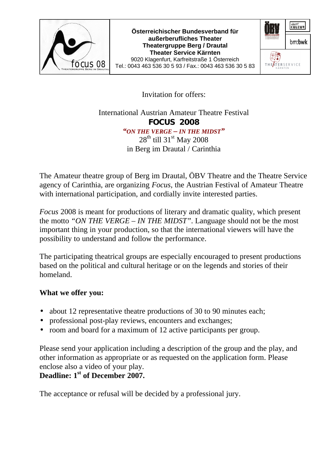

**Österreichischer Bundesverband für außerberufliches Theater Theatergruppe Berg / Drautal Theater Service Kärnten**  9020 Klagenfurt, Karfreitstraße 1 Österreich Tel.: 0043 463 536 30 5 93 / Fax.: 0043 463 536 30 5 83



Invitation for offers:

International Austrian Amateur Theatre Festival **FOCUS 2008** *"ON THE VERGE – IN THE MIDST"*  $28^{th}$  till 31<sup>st</sup> May 2008 in Berg im Drautal / Carinthia

The Amateur theatre group of Berg im Drautal, ÖBV Theatre and the Theatre Service agency of Carinthia, are organizing *Focus*, the Austrian Festival of Amateur Theatre with international participation, and cordially invite interested parties.

*Focus* 2008 is meant for productions of literary and dramatic quality, which present the motto *"ON THE VERGE – IN THE MIDST"*. Language should not be the most important thing in your production, so that the international viewers will have the possibility to understand and follow the performance.

The participating theatrical groups are especially encouraged to present productions based on the political and cultural heritage or on the legends and stories of their homeland.

## **What we offer you:**

- about 12 representative theatre productions of 30 to 90 minutes each;
- professional post-play reviews, encounters and exchanges;
- room and board for a maximum of 12 active participants per group.

Please send your application including a description of the group and the play, and other information as appropriate or as requested on the application form. Please enclose also a video of your play.

## **Deadline: 1st of December 2007.**

The acceptance or refusal will be decided by a professional jury.